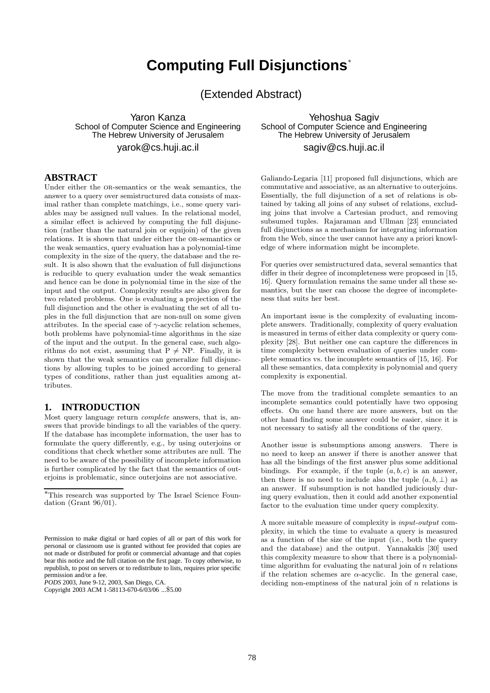# **Computing Full Disjunctions**<sup>∗</sup>

(Extended Abstract)

Yaron Kanza School of Computer Science and Engineering The Hebrew University of Jerusalem yarok@cs.huji.ac.il

## **ABSTRACT**

Under either the OR-semantics or the weak semantics, the answer to a query over semistructured data consists of maximal rather than complete matchings, i.e., some query variables may be assigned null values. In the relational model, a similar effect is achieved by computing the full disjunction (rather than the natural join or equijoin) of the given relations. It is shown that under either the or-semantics or the weak semantics, query evaluation has a polynomial-time complexity in the size of the query, the database and the result. It is also shown that the evaluation of full disjunctions is reducible to query evaluation under the weak semantics and hence can be done in polynomial time in the size of the input and the output. Complexity results are also given for two related problems. One is evaluating a projection of the full disjunction and the other is evaluating the set of all tuples in the full disjunction that are non-null on some given attributes. In the special case of  $\gamma$ -acyclic relation schemes, both problems have polynomial-time algorithms in the size of the input and the output. In the general case, such algorithms do not exist, assuming that  $P \neq NP$ . Finally, it is shown that the weak semantics can generalize full disjunctions by allowing tuples to be joined according to general types of conditions, rather than just equalities among attributes.

## **1. INTRODUCTION**

Most query language return complete answers, that is, answers that provide bindings to all the variables of the query. If the database has incomplete information, the user has to formulate the query differently, e.g., by using outerjoins or conditions that check whether some attributes are null. The need to be aware of the possibility of incomplete information is further complicated by the fact that the semantics of outerjoins is problematic, since outerjoins are not associative.

*PODS* 2003, June 9-12, 2003, San Diego, CA.

Yehoshua Sagiv School of Computer Science and Engineering The Hebrew University of Jerusalem sagiv@cs.huji.ac.il

Galiando-Legaria [11] proposed full disjunctions, which are commutative and associative, as an alternative to outerjoins. Essentially, the full disjunction of a set of relations is obtained by taking all joins of any subset of relations, excluding joins that involve a Cartesian product, and removing subsumed tuples. Rajaraman and Ullman [23] enunciated full disjunctions as a mechanism for integrating information from the Web, since the user cannot have any a priori knowledge of where information might be incomplete.

For queries over semistructured data, several semantics that differ in their degree of incompleteness were proposed in [15, 16]. Query formulation remains the same under all these semantics, but the user can choose the degree of incompleteness that suits her best.

An important issue is the complexity of evaluating incomplete answers. Traditionally, complexity of query evaluation is measured in terms of either data complexity or query complexity [28]. But neither one can capture the differences in time complexity between evaluation of queries under complete semantics vs. the incomplete semantics of [15, 16]. For all these semantics, data complexity is polynomial and query complexity is exponential.

The move from the traditional complete semantics to an incomplete semantics could potentially have two opposing effects. On one hand there are more answers, but on the other hand finding some answer could be easier, since it is not necessary to satisfy all the conditions of the query.

Another issue is subsumptions among answers. There is no need to keep an answer if there is another answer that has all the bindings of the first answer plus some additional bindings. For example, if the tuple  $(a, b, c)$  is an answer, then there is no need to include also the tuple  $(a, b, \perp)$  as an answer. If subsumption is not handled judiciously during query evaluation, then it could add another exponential factor to the evaluation time under query complexity.

A more suitable measure of complexity is input-output complexity, in which the time to evaluate a query is measured as a function of the size of the input (i.e., both the query and the database) and the output. Yannakakis [30] used this complexity measure to show that there is a polynomialtime algorithm for evaluating the natural join of  $n$  relations if the relation schemes are  $\alpha$ -acyclic. In the general case, deciding non-emptiness of the natural join of  $n$  relations is

<sup>∗</sup>This research was supported by The Israel Science Foundation (Grant 96/01).

Permission to make digital or hard copies of all or part of this work for personal or classroom use is granted without fee provided that copies are not made or distributed for profit or commercial advantage and that copies bear this notice and the full citation on the first page. To copy otherwise, to republish, to post on servers or to redistribute to lists, requires prior specific permission and/or a fee.

Copyright 2003 ACM 1-58113-670-6/03/06 ...\$5.00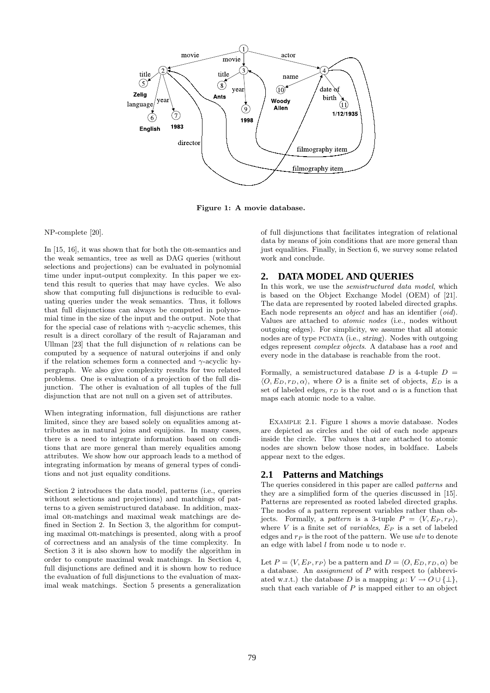

Figure 1: A movie database.

#### NP-complete [20].

In [15, 16], it was shown that for both the OR-semantics and the weak semantics, tree as well as DAG queries (without selections and projections) can be evaluated in polynomial time under input-output complexity. In this paper we extend this result to queries that may have cycles. We also show that computing full disjunctions is reducible to evaluating queries under the weak semantics. Thus, it follows that full disjunctions can always be computed in polynomial time in the size of the input and the output. Note that for the special case of relations with  $\gamma$ -acyclic schemes, this result is a direct corollary of the result of Rajaraman and Ullman [23] that the full disjunction of  $n$  relations can be computed by a sequence of natural outerjoins if and only if the relation schemes form a connected and  $\gamma$ -acyclic hypergraph. We also give complexity results for two related problems. One is evaluation of a projection of the full disjunction. The other is evaluation of all tuples of the full disjunction that are not null on a given set of attributes.

When integrating information, full disjunctions are rather limited, since they are based solely on equalities among attributes as in natural joins and equijoins. In many cases, there is a need to integrate information based on conditions that are more general than merely equalities among attributes. We show how our approach leads to a method of integrating information by means of general types of conditions and not just equality conditions.

Section 2 introduces the data model, patterns (i.e., queries without selections and projections) and matchings of patterns to a given semistructured database. In addition, maximal or-matchings and maximal weak matchings are defined in Section 2. In Section 3, the algorithm for computing maximal or-matchings is presented, along with a proof of correctness and an analysis of the time complexity. In Section 3 it is also shown how to modify the algorithm in order to compute maximal weak matchings. In Section 4, full disjunctions are defined and it is shown how to reduce the evaluation of full disjunctions to the evaluation of maximal weak matchings. Section 5 presents a generalization

of full disjunctions that facilitates integration of relational data by means of join conditions that are more general than just equalities. Finally, in Section 6, we survey some related work and conclude.

## **2. DATA MODEL AND QUERIES**

In this work, we use the *semistructured data model*, which is based on the Object Exchange Model (OEM) of [21]. The data are represented by rooted labeled directed graphs. Each node represents an *object* and has an identifier (*oid*). Values are attached to atomic nodes (i.e., nodes without outgoing edges). For simplicity, we assume that all atomic nodes are of type PCDATA (i.e., string). Nodes with outgoing edges represent complex objects. A database has a root and every node in the database is reachable from the root.

Formally, a semistructured database  $D$  is a 4-tuple  $D =$  $\langle O, E_D, r_D, \alpha \rangle$ , where O is a finite set of objects,  $E_D$  is a set of labeled edges,  $r_D$  is the root and  $\alpha$  is a function that maps each atomic node to a value.

Example 2.1. Figure 1 shows a movie database. Nodes are depicted as circles and the oid of each node appears inside the circle. The values that are attached to atomic nodes are shown below those nodes, in boldface. Labels appear next to the edges.

## **2.1 Patterns and Matchings**

The queries considered in this paper are called *patterns* and they are a simplified form of the queries discussed in [15]. Patterns are represented as rooted labeled directed graphs. The nodes of a pattern represent variables rather than objects. Formally, a pattern is a 3-tuple  $P = \langle V, E_P , r_P \rangle$ , where  $V$  is a finite set of variables,  $E_P$  is a set of labeled edges and  $r_P$  is the root of the pattern. We use  $ulv$  to denote an edge with label  $l$  from node  $u$  to node  $v$ .

Let  $P = \langle V, E_P, r_P \rangle$  be a pattern and  $D = \langle O, E_D, r_D, \alpha \rangle$  be a database. An assignment of P with respect to (abbreviated w.r.t.) the database D is a mapping  $\mu: V \to O \cup \{\perp\},\$ such that each variable of  $P$  is mapped either to an object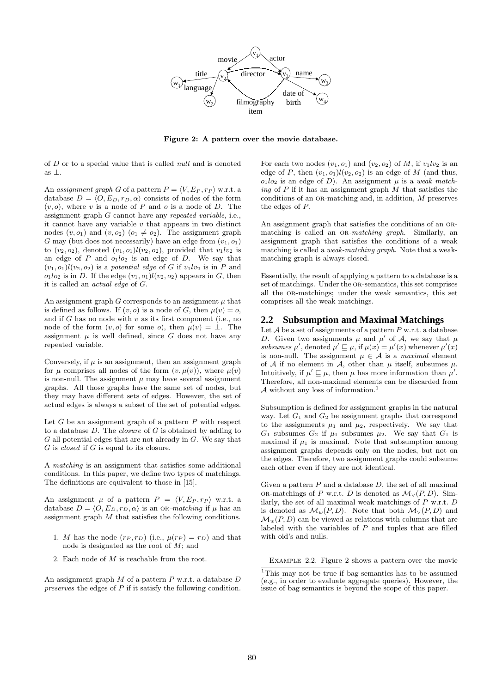

Figure 2: A pattern over the movie database.

of D or to a special value that is called null and is denoted as ⊥.

An assignment graph G of a pattern  $P = \langle V, E_P , r_P \rangle$  w.r.t. a database  $D = \langle O, E_D, r_D, \alpha \rangle$  consists of nodes of the form  $(v, o)$ , where v is a node of P and o is a node of D. The assignment graph G cannot have any repeated variable, i.e., it cannot have any variable  $v$  that appears in two distinct nodes  $(v, o_1)$  and  $(v, o_2)$   $(o_1 \neq o_2)$ . The assignment graph G may (but does not necessarily) have an edge from  $(v_1, o_1)$ to  $(v_2, o_2)$ , denoted  $(v_1, o_1)l(v_2, o_2)$ , provided that  $v_1lv_2$  is an edge of P and  $o_1lo_2$  is an edge of D. We say that  $(v_1, o_1)l(v_2, o_2)$  is a potential edge of G if  $v_1lv_2$  is in P and  $o_1 o_2$  is in D. If the edge  $(v_1, o_1) l(v_2, o_2)$  appears in G, then it is called an actual edge of G.

An assignment graph  $G$  corresponds to an assignment  $\mu$  that is defined as follows. If  $(v, o)$  is a node of G, then  $\mu(v) = o$ , and if  $G$  has no node with  $v$  as its first component (i.e., no node of the form  $(v, o)$  for some  $o$ , then  $\mu(v) = \bot$ . The assignment  $\mu$  is well defined, since G does not have any repeated variable.

Conversely, if  $\mu$  is an assignment, then an assignment graph for  $\mu$  comprises all nodes of the form  $(v, \mu(v))$ , where  $\mu(v)$ is non-null. The assignment  $\mu$  may have several assignment graphs. All those graphs have the same set of nodes, but they may have different sets of edges. However, the set of actual edges is always a subset of the set of potential edges.

Let  $G$  be an assignment graph of a pattern  $P$  with respect to a database  $D$ . The *closure* of  $G$  is obtained by adding to  $G$  all potential edges that are not already in  $G$ . We say that G is closed if G is equal to its closure.

A matching is an assignment that satisfies some additional conditions. In this paper, we define two types of matchings. The definitions are equivalent to those in [15].

An assignment  $\mu$  of a pattern  $P = \langle V, E_P , r_P \rangle$  w.r.t. a database  $D = \langle O, E_D, r_D, \alpha \rangle$  is an or-matching if  $\mu$  has an assignment graph M that satisfies the following conditions.

- 1. M has the node  $(r_P, r_D)$  (i.e.,  $\mu(r_P) = r_D$ ) and that node is designated as the root of  $M$ ; and
- 2. Each node of M is reachable from the root.

An assignment graph  $M$  of a pattern  $P$  w.r.t. a database  $D$ preserves the edges of P if it satisfy the following condition. For each two nodes  $(v_1, o_1)$  and  $(v_2, o_2)$  of M, if  $v_1lv_2$  is an edge of P, then  $(v_1, o_1)l(v_2, o_2)$  is an edge of M (and thus,  $o_1lo_2$  is an edge of D). An assignment  $\mu$  is a weak matching of  $P$  if it has an assignment graph  $M$  that satisfies the conditions of an  $OR$ -matching and, in addition,  $M$  preserves the edges of P.

An assignment graph that satisfies the conditions of an ORmatching is called an OR-matching graph. Similarly, an assignment graph that satisfies the conditions of a weak matching is called a weak-matching graph. Note that a weakmatching graph is always closed.

Essentially, the result of applying a pattern to a database is a set of matchings. Under the OR-semantics, this set comprises all the or-matchings; under the weak semantics, this set comprises all the weak matchings.

#### **2.2 Subsumption and Maximal Matchings**

Let  $A$  be a set of assignments of a pattern  $P$  w.r.t. a database D. Given two assignments  $\mu$  and  $\mu'$  of A, we say that  $\mu$ subsumes  $\mu'$ , denoted  $\mu' \sqsubseteq \mu$ , if  $\mu(x) = \mu'(x)$  whenever  $\mu'(x)$ is non-null. The assignment  $\mu \in \mathcal{A}$  is a *maximal* element of A if no element in A, other than  $\mu$  itself, subsumes  $\mu$ . Intuitively, if  $\mu' \sqsubseteq \mu$ , then  $\mu$  has more information than  $\mu'$ . Therefore, all non-maximal elements can be discarded from A without any loss of information.<sup>1</sup>

Subsumption is defined for assignment graphs in the natural way. Let  $G_1$  and  $G_2$  be assignment graphs that correspond to the assignments  $\mu_1$  and  $\mu_2$ , respectively. We say that  $G_1$  subsumes  $G_2$  if  $\mu_1$  subsumes  $\mu_2$ . We say that  $G_1$  is maximal if  $\mu_1$  is maximal. Note that subsumption among assignment graphs depends only on the nodes, but not on the edges. Therefore, two assignment graphs could subsume each other even if they are not identical.

Given a pattern  $P$  and a database  $D$ , the set of all maximal OR-matchings of P w.r.t. D is denoted as  $\mathcal{M}_{\vee}(P, D)$ . Similarly, the set of all maximal weak matchings of  $P$  w.r.t.  $D$ is denoted as  $\mathcal{M}_w(P, D)$ . Note that both  $\mathcal{M}_v(P, D)$  and  $\mathcal{M}_w(P, D)$  can be viewed as relations with columns that are labeled with the variables of  $P$  and tuples that are filled with oid's and nulls.

Example 2.2. Figure 2 shows a pattern over the movie

<sup>&</sup>lt;sup>1</sup>This may not be true if bag semantics has to be assumed (e.g., in order to evaluate aggregate queries). However, the issue of bag semantics is beyond the scope of this paper.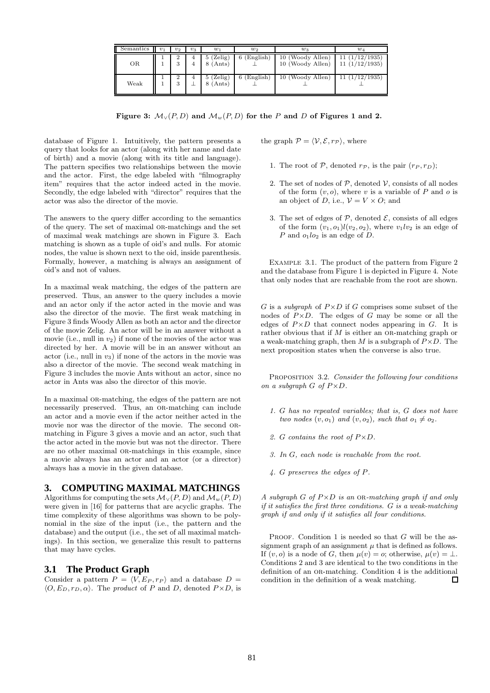| Semantics<br>Ш | $v_1$ | $v_2$ | $v_3$               | $w_1$                     | $w_2$           | $w_3$                                | $w_4$                          |
|----------------|-------|-------|---------------------|---------------------------|-----------------|--------------------------------------|--------------------------------|
| OR             |       |       | 4<br>$\overline{4}$ | $5$ (Zelig)<br>$8$ (Ants) | (English)<br>61 | 10 (Woody Allen)<br>10 (Woody Allen) | 11(1/12/1935)<br>11(1/12/1935) |
| Weak           |       | ω     |                     | $5$ (Zelig)<br>$8$ (Ants) | (English)       | 10 (Woody Allen)                     | 11(1/12/1935)                  |

Figure 3:  $\mathcal{M}_{\vee}(P, D)$  and  $\mathcal{M}_{w}(P, D)$  for the P and D of Figures 1 and 2.

database of Figure 1. Intuitively, the pattern presents a query that looks for an actor (along with her name and date of birth) and a movie (along with its title and language). The pattern specifies two relationships between the movie and the actor. First, the edge labeled with "filmography item" requires that the actor indeed acted in the movie. Secondly, the edge labeled with "director" requires that the actor was also the director of the movie.

The answers to the query differ according to the semantics of the query. The set of maximal or-matchings and the set of maximal weak matchings are shown in Figure 3. Each matching is shown as a tuple of oid's and nulls. For atomic nodes, the value is shown next to the oid, inside parenthesis. Formally, however, a matching is always an assignment of oid's and not of values.

In a maximal weak matching, the edges of the pattern are preserved. Thus, an answer to the query includes a movie and an actor only if the actor acted in the movie and was also the director of the movie. The first weak matching in Figure 3 finds Woody Allen as both an actor and the director of the movie Zelig. An actor will be in an answer without a movie (i.e., null in  $v_2$ ) if none of the movies of the actor was directed by her. A movie will be in an answer without an actor (i.e., null in  $v_3$ ) if none of the actors in the movie was also a director of the movie. The second weak matching in Figure 3 includes the movie Ants without an actor, since no actor in Ants was also the director of this movie.

In a maximal OR-matching, the edges of the pattern are not necessarily preserved. Thus, an OR-matching can include an actor and a movie even if the actor neither acted in the movie nor was the director of the movie. The second ormatching in Figure 3 gives a movie and an actor, such that the actor acted in the movie but was not the director. There are no other maximal or-matchings in this example, since a movie always has an actor and an actor (or a director) always has a movie in the given database.

## **3. COMPUTING MAXIMAL MATCHINGS**

Algorithms for computing the sets  $\mathcal{M}_{\vee}(P, D)$  and  $\mathcal{M}_{w}(P, D)$ were given in [16] for patterns that are acyclic graphs. The time complexity of these algorithms was shown to be polynomial in the size of the input (i.e., the pattern and the database) and the output (i.e., the set of all maximal matchings). In this section, we generalize this result to patterns that may have cycles.

## **3.1 The Product Graph**

Consider a pattern  $P = \langle V, E_P , r_P \rangle$  and a database  $D =$  $\langle O, E_D, r_D, \alpha \rangle$ . The product of P and D, denoted  $P \times D$ , is the graph  $\mathcal{P} = \langle \mathcal{V}, \mathcal{E}, r_{\mathcal{P}} \rangle$ , where

- 1. The root of  $P$ , denoted  $r_P$ , is the pair  $(r_P, r_D)$ ;
- 2. The set of nodes of  $P$ , denoted  $V$ , consists of all nodes of the form  $(v, o)$ , where v is a variable of P and o is an object of D, i.e.,  $V = V \times O$ ; and
- 3. The set of edges of  $P$ , denoted  $\mathcal{E}$ , consists of all edges of the form  $(v_1, o_1)l(v_2, o_2)$ , where  $v_1lv_2$  is an edge of P and  $o_1lo_2$  is an edge of D.

Example 3.1. The product of the pattern from Figure 2 and the database from Figure 1 is depicted in Figure 4. Note that only nodes that are reachable from the root are shown.

G is a subgraph of  $P \times D$  if G comprises some subset of the nodes of  $P \times D$ . The edges of G may be some or all the edges of  $P \times D$  that connect nodes appearing in G. It is rather obvious that if  $M$  is either an OR-matching graph or a weak-matching graph, then M is a subgraph of  $P \times D$ . The next proposition states when the converse is also true.

PROPOSITION 3.2. Consider the following four conditions on a subgraph  $G$  of  $P \times D$ .

- 1. G has no repeated variables; that is, G does not have two nodes  $(v, o_1)$  and  $(v, o_2)$ , such that  $o_1 \neq o_2$ .
- 2. G contains the root of  $P \times D$ .
- 3. In G, each node is reachable from the root.
- 4. G preserves the edges of P.

A subgraph  $G$  of  $P \times D$  is an OR-matching graph if and only if it satisfies the first three conditions. G is a weak-matching graph if and only if it satisfies all four conditions.

PROOF. Condition 1 is needed so that  $G$  will be the assignment graph of an assignment  $\mu$  that is defined as follows. If  $(v, o)$  is a node of G, then  $\mu(v) = o$ ; otherwise,  $\mu(v) = \bot$ . Conditions 2 and 3 are identical to the two conditions in the definition of an OR-matching. Condition 4 is the additional condition in the definition of a weak matching.  $\Box$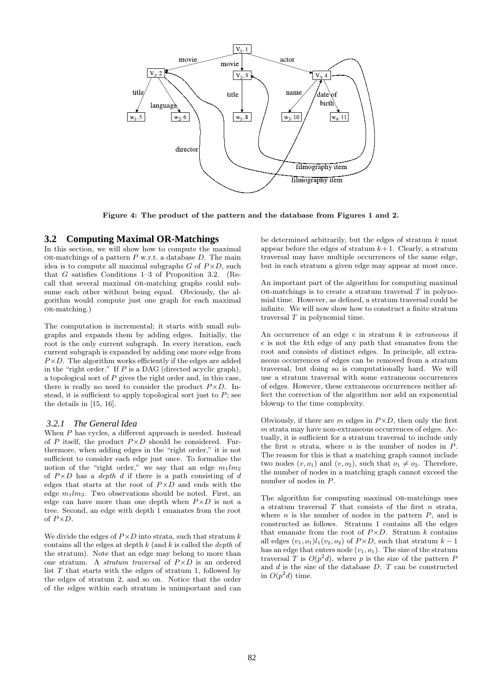

Figure 4: The product of the pattern and the database from Figures 1 and 2.

## **3.2 Computing Maximal OR-Matchings**

In this section, we will show how to compute the maximal OR-matchings of a pattern  $P$  w.r.t. a database  $D$ . The main idea is to compute all maximal subgraphs  $G$  of  $P \times D$ , such that G satisfies Conditions 1–3 of Proposition 3.2. (Recall that several maximal or-matching graphs could subsume each other without being equal. Obviously, the algorithm would compute just one graph for each maximal or-matching.)

The computation is incremental; it starts with small subgraphs and expands them by adding edges. Initially, the root is the only current subgraph. In every iteration, each current subgraph is expanded by adding one more edge from  $P \times D$ . The algorithm works efficiently if the edges are added in the "right order." If  $P$  is a DAG (directed acyclic graph), a topological sort of  $P$  gives the right order and, in this case, there is really no need to consider the product  $P \times D$ . Instead, it is sufficient to apply topological sort just to  $P$ ; see the details in [15, 16].

#### *3.2.1 The General Idea*

When P has cycles, a different approach is needed. Instead of  $P$  itself, the product  $P \times D$  should be considered. Furthermore, when adding edges in the "right order," it is not sufficient to consider each edge just once. To formalize the notion of the "right order," we say that an edge  $m_1/m_2$ of  $P \times D$  has a *depth d* if there is a path consisting of d edges that starts at the root of  $P \times D$  and ends with the edge  $m_1/m_2$ . Two observations should be noted. First, an edge can have more than one depth when  $P \times D$  is not a tree. Second, an edge with depth 1 emanates from the root of  $P \times D$ .

We divide the edges of  $P \times D$  into strata, such that stratum k contains all the edges at depth  $k$  (and  $k$  is called the *depth* of the stratum). Note that an edge may belong to more than one stratum. A *stratum traversal* of  $P \times D$  is an ordered list  $T$  that starts with the edges of stratum 1, followed by the edges of stratum 2, and so on. Notice that the order of the edges within each stratum is unimportant and can

be determined arbitrarily, but the edges of stratum  $k$  must appear before the edges of stratum  $k+1$ . Clearly, a stratum traversal may have multiple occurrences of the same edge, but in each stratum a given edge may appear at most once.

An important part of the algorithm for computing maximal  $OR$ -matchings is to create a stratum traversal  $T$  in polynomial time. However, as defined, a stratum traversal could be infinite. We will now show how to construct a finite stratum traversal  $T$  in polynomial time.

An occurrence of an edge  $e$  in stratum  $k$  is *extraneous* if e is not the kth edge of any path that emanates from the root and consists of distinct edges. In principle, all extraneous occurrences of edges can be removed from a stratum traversal, but doing so is computationally hard. We will use a stratum traversal with some extraneous occurrences of edges. However, these extraneous occurrences neither affect the correction of the algorithm nor add an exponential blowup to the time complexity.

Obviously, if there are m edges in  $P \times D$ , then only the first  $m$  strata may have non-extraneous occurrences of edges. Actually, it is sufficient for a stratum traversal to include only the first  $n$  strata, where  $n$  is the number of nodes in  $\overline{P}$ . The reason for this is that a matching graph cannot include two nodes  $(v, o_1)$  and  $(v, o_2)$ , such that  $o_1 \neq o_2$ . Therefore, the number of nodes in a matching graph cannot exceed the number of nodes in P.

The algorithm for computing maximal OR-matchings uses a stratum traversal  $T$  that consists of the first  $n$  strata, where  $n$  is the number of nodes in the pattern  $P$ , and is constructed as follows. Stratum 1 contains all the edges that emanate from the root of  $P \times D$ . Stratum k contains all edges  $(v_1, o_1)l_1(v_2, o_2)$  of  $P \times D$ , such that stratum  $k - 1$ has an edge that enters node  $(v_1, o_1)$ . The size of the stratum traversal T is  $O(p^2d)$ , where p is the size of the pattern P and  $d$  is the size of the database  $D$ .  $T$  can be constructed in  $O(p^2d)$  time.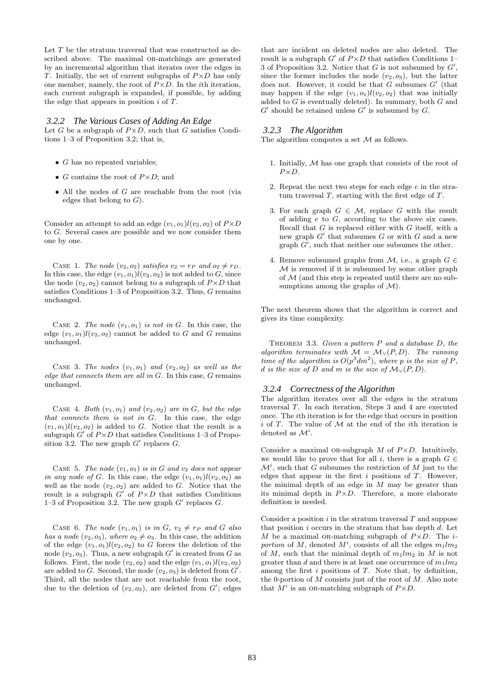Let  $T$  be the stratum traversal that was constructed as described above. The maximal OR-matchings are generated by an incremental algorithm that iterates over the edges in T. Initially, the set of current subgraphs of  $P \times D$  has only one member, namely, the root of  $P \times D$ . In the *i*th iteration, each current subgraph is expanded, if possible, by adding the edge that appears in position  $i$  of  $T$ .

#### *3.2.2 The Various Cases of Adding An Edge*

Let G be a subgraph of  $P \times D$ , such that G satisfies Conditions 1–3 of Proposition 3.2; that is,

- $\bullet$  G has no repeated variables;
- G contains the root of  $P \times D$ ; and
- All the nodes of  $G$  are reachable from the root (via edges that belong to  $G$ ).

Consider an attempt to add an edge  $(v_1, o_1)l(v_2, o_2)$  of  $P \times D$ to G. Several cases are possible and we now consider them one by one.

CASE 1. The node  $(v_2, o_2)$  satisfies  $v_2 = r_P$  and  $o_2 \neq r_D$ . In this case, the edge  $(v_1, o_1)l(v_2, o_2)$  is not added to G, since the node  $(v_2, o_2)$  cannot belong to a subgraph of  $P \times D$  that satisfies Conditions 1–3 of Proposition 3.2. Thus, G remains unchanged.

CASE 2. The node  $(v_1, o_1)$  is not in G. In this case, the edge  $(v_1, o_1)l(v_2, o_2)$  cannot be added to G and G remains unchanged.

CASE 3. The nodes  $(v_1, o_1)$  and  $(v_2, o_2)$  as well as the edge that connects them are all in  $G$ . In this case,  $G$  remains unchanged.

CASE 4. Both  $(v_1, o_1)$  and  $(v_2, o_2)$  are in G, but the edge that connects them is not in G. In this case, the edge  $(v_1, o_1)l(v_2, o_2)$  is added to G. Notice that the result is a subgraph  $G'$  of  $P \times D$  that satisfies Conditions 1–3 of Proposition 3.2. The new graph  $G'$  replaces  $G$ .

CASE 5. The node  $(v_1, o_1)$  is in G and  $v_2$  does not appear in any node of G. In this case, the edge  $(v_1, o_1)l(v_2, o_2)$  as well as the node  $(v_2, o_2)$  are added to G. Notice that the result is a subgraph  $G'$  of  $P \times D$  that satisfies Conditions 1–3 of Proposition 3.2. The new graph  $G'$  replaces  $G$ .

CASE 6. The node  $(v_1, o_1)$  is in  $G, v_2 \neq r_P$  and G also has a node  $(v_2, o_3)$ , where  $o_2 \neq o_3$ . In this case, the addition of the edge  $(v_1, o_1)l(v_2, o_2)$  to G forces the deletion of the node  $(v_2, o_3)$ . Thus, a new subgraph G' is created from G as follows. First, the node  $(v_2, o_2)$  and the edge  $(v_1, o_1)l(v_2, o_2)$ are added to G. Second, the node  $(v_2, o_3)$  is deleted from  $G'$ . Third, all the nodes that are not reachable from the root, due to the deletion of  $(v_2, o_3)$ , are deleted from  $G'$ ; edges

that are incident on deleted nodes are also deleted. The result is a subgraph  $G'$  of  $P \times D$  that satisfies Conditions 1– 3 of Proposition 3.2. Notice that G is not subsumed by  $G'$ , since the former includes the node  $(v_2, o_3)$ , but the latter does not. However, it could be that  $G$  subsumes  $G'$  (that may happen if the edge  $(v_1, o_1)l(v_2, o_2)$  that was initially added to  $G$  is eventually deleted). In summary, both  $G$  and  $G'$  should be retained unless  $G'$  is subsumed by  $G$ .

#### *3.2.3 The Algorithm*

The algorithm computes a set  $\mathcal M$  as follows.

- 1. Initially, M has one graph that consists of the root of  $P \times D$
- 2. Repeat the next two steps for each edge e in the stratum traversal  $T$ , starting with the first edge of  $T$ .
- 3. For each graph  $G \in \mathcal{M}$ , replace G with the result of adding  $e$  to  $G$ , according to the above six cases. Recall that  $G$  is replaced either with  $G$  itself, with a new graph  $G'$  that subsumes  $G$  or with  $G$  and a new graph  $\tilde{G}'$ , such that neither one subsumes the other.
- 4. Remove subsumed graphs from  $M$ , i.e., a graph  $G \in$  $M$  is removed if it is subsumed by some other graph of  $M$  (and this step is repeated until there are no subsumptions among the graphs of  $\mathcal{M}$ ).

The next theorem shows that the algorithm is correct and gives its time complexity.

THEOREM 3.3. Given a pattern  $P$  and a database  $D$ , the algorithm terminates with  $\mathcal{M} = \mathcal{M}_{\vee}(P, D)$ . The running time of the algorithm is  $O(p^3 dm^2)$ , where p is the size of P, d is the size of D and m is the size of  $\mathcal{M}_{\vee}(P, D)$ .

#### *3.2.4 Correctness of the Algorithm*

The algorithm iterates over all the edges in the stratum traversal T. In each iteration, Steps 3 and 4 are executed once. The ith iteration is for the edge that occurs in position i of T. The value of  $M$  at the end of the ith iteration is denoted as  $\mathcal{M}^i$ .

Consider a maximal OR-subgraph  $M$  of  $P \times D$ . Intuitively, we would like to prove that for all i, there is a graph  $G \in$  $\mathcal{M}^i$ , such that G subsumes the restriction of M just to the edges that appear in the first  $i$  positions of  $T$ . However, the minimal depth of an edge in  $M$  may be greater than its minimal depth in  $P \times D$ . Therefore, a more elaborate definition is needed.

Consider a position  $i$  in the stratum traversal  $T$  and suppose that position  $i$  occurs in the stratum that has depth  $d$ . Let M be a maximal OR-matching subgraph of  $P \times D$ . The *i*portion of M, denoted  $M^i$ , consists of all the edges  $m_1/m_2$ of M, such that the minimal depth of  $m_1/m_2$  in M is not greater than d and there is at least one occurrence of  $m_1/m_2$ among the first  $i$  positions of  $T$ . Note that, by definition, the 0-portion of  $M$  consists just of the root of  $M$ . Also note that  $M^i$  is an OR-matching subgraph of  $P \times D$ .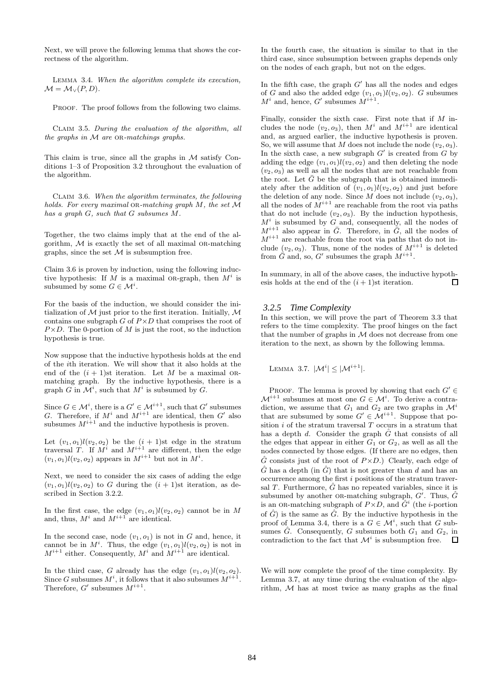Next, we will prove the following lemma that shows the correctness of the algorithm.

Lemma 3.4. When the algorithm complete its execution,  $M = M_v(P, D).$ 

PROOF. The proof follows from the following two claims.

Claim 3.5. During the evaluation of the algorithm, all the graphs in  $M$  are OR-matchings graphs.

This claim is true, since all the graphs in  $\mathcal M$  satisfy Conditions 1–3 of Proposition 3.2 throughout the evaluation of the algorithm.

Claim 3.6. When the algorithm terminates, the following holds. For every maximal OR-matching graph  $M$ , the set  $\mathcal M$ has a graph G, such that G subsumes M.

Together, the two claims imply that at the end of the algorithm,  $M$  is exactly the set of all maximal OR-matching graphs, since the set  $\mathcal M$  is subsumption free.

Claim 3.6 is proven by induction, using the following inductive hypothesis: If M is a maximal OR-graph, then  $M^i$  is subsumed by some  $G \in \mathcal{M}^i$ .

For the basis of the induction, we should consider the initialization of  $M$  just prior to the first iteration. Initially,  $M$ contains one subgraph  $G$  of  $P \times D$  that comprises the root of  $P \times D$ . The 0-portion of M is just the root, so the induction hypothesis is true.

Now suppose that the inductive hypothesis holds at the end of the ith iteration. We will show that it also holds at the end of the  $(i + 1)$ st iteration. Let M be a maximal ORmatching graph. By the inductive hypothesis, there is a graph G in  $\mathcal{M}^i$ , such that  $M^i$  is subsumed by G.

Since  $G \in \mathcal{M}^i$ , there is a  $G' \in \mathcal{M}^{i+1}$ , such that  $G'$  subsumes G. Therefore, if  $M^i$  and  $M^{i+1}$  are identical, then  $G'$  also subsumes  $M^{i+1}$  and the inductive hypothesis is proven.

Let  $(v_1, o_1)l(v_2, o_2)$  be the  $(i + 1)$ st edge in the stratum traversal T. If  $M^i$  and  $M^{i+1}$  are different, then the edge  $(v_1, o_1)l(v_2, o_2)$  appears in  $M^{i+1}$  but not in  $M^i$ .

Next, we need to consider the six cases of adding the edge  $(v_1, o_1)l(v_2, o_2)$  to G during the  $(i + 1)$ st iteration, as described in Section 3.2.2.

In the first case, the edge  $(v_1, o_1)l(v_2, o_2)$  cannot be in M and, thus,  $M^i$  and  $M^{i+1}$  are identical.

In the second case, node  $(v_1, o_1)$  is not in G and, hence, it cannot be in  $M^i$ . Thus, the edge  $(v_1, o_1)l(v_2, o_2)$  is not in  $M^{i+1}$  either. Consequently,  $M^i$  and  $M^{i+1}$  are identical.

In the third case, G already has the edge  $(v_1, o_1)l(v_2, o_2)$ . Since G subsumes  $M^i$ , it follows that it also subsumes  $M^{i+1}$ . Therefore,  $G'$  subsumes  $M^{i+1}$ .

In the fourth case, the situation is similar to that in the third case, since subsumption between graphs depends only on the nodes of each graph, but not on the edges.

In the fifth case, the graph  $G'$  has all the nodes and edges of G and also the added edge  $(v_1, o_1)l(v_2, o_2)$ . G subsumes  $M^i$  and, hence, G' subsumes  $M^{i+1}$ .

Finally, consider the sixth case. First note that if  $M$  includes the node  $(v_2, o_3)$ , then  $M^i$  and  $M^{i+1}$  are identical and, as argued earlier, the inductive hypothesis is proven. So, we will assume that M does not include the node  $(v_2, o_3)$ . In the sixth case, a new subgraph  $G'$  is created from  $G$  by adding the edge  $(v_1, o_1)l(v_2, o_2)$  and then deleting the node  $(v_2, o_3)$  as well as all the nodes that are not reachable from the root. Let  $\bar{G}$  be the subgraph that is obtained immediately after the addition of  $(v_1, o_1)l(v_2, o_2)$  and just before the deletion of any node. Since M does not include  $(v_2, o_3)$ , all the nodes of  $M^{i+1}$  are reachable from the root via paths that do not include  $(v_2, o_3)$ . By the induction hypothesis,  $M<sup>i</sup>$  is subsumed by G and, consequently, all the nodes of  $M^{i+1}$  also appear in  $\overline{G}$ . Therefore, in  $\overline{G}$ , all the nodes of  $\widetilde{M}^{i+1}$  are reachable from the root via paths that do not include  $(v_2, o_3)$ . Thus, none of the nodes of  $M^{i+1}$  is deleted from  $\tilde{G}$  and, so, G' subsumes the graph  $M^{i+1}$ .

In summary, in all of the above cases, the inductive hypothesis holds at the end of the  $(i + 1)$ st iteration.  $\Box$ 

#### *3.2.5 Time Complexity*

In this section, we will prove the part of Theorem 3.3 that refers to the time complexity. The proof hinges on the fact that the number of graphs in  $M$  does not decrease from one iteration to the next, as shown by the following lemma.

LEMMA 3.7.  $|\mathcal{M}^i| \leq |\mathcal{M}^{i+1}|$ .

PROOF. The lemma is proved by showing that each  $G' \in$  $\mathcal{M}^{i+1}$  subsumes at most one  $G \in \mathcal{M}^i$ . To derive a contradiction, we assume that  $G_1$  and  $G_2$  are two graphs in  $\mathcal{M}^i$ that are subsumed by some  $G' \in \mathcal{M}^{i+1}$ . Suppose that position  $i$  of the stratum traversal  $T$  occurs in a stratum that has a depth  $d$ . Consider the graph  $G$  that consists of all the edges that appear in either  $G_1$  or  $G_2$ , as well as all the nodes connected by those edges. (If there are no edges, then  $\hat{G}$  consists just of the root of  $P \times D$ .) Clearly, each edge of  $\hat{G}$  has a depth (in  $\hat{G}$ ) that is not greater than d and has an occurrence among the first i positions of the stratum traversal T. Furthermore,  $\tilde{G}$  has no repeated variables, since it is subsumed by another OR-matching subgraph,  $G'$ . Thus,  $\hat{G}$ is an OR-matching subgraph of  $P \times D$ , and  $\hat{G}^i$  (the *i*-portion of  $\hat{G}$  is the same as  $\hat{G}$ . By the inductive hypothesis in the proof of Lemma 3.4, there is a  $G \in \mathcal{M}^i$ , such that G subsumes  $\hat{G}$ . Consequently, G subsumes both  $G_1$  and  $G_2$ , in contradiction to the fact that  $\mathcal{M}^i$  is subsumption free.

We will now complete the proof of the time complexity. By Lemma 3.7, at any time during the evaluation of the algorithm,  $M$  has at most twice as many graphs as the final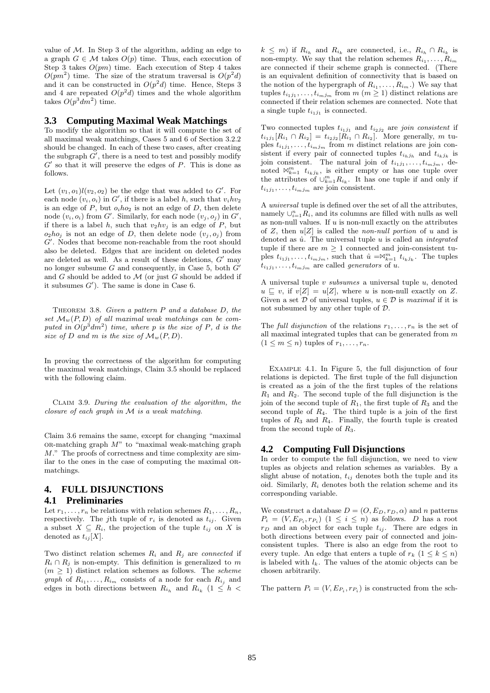value of  $M$ . In Step 3 of the algorithm, adding an edge to a graph  $G \in \mathcal{M}$  takes  $O(p)$  time. Thus, each execution of Step 3 takes  $O(pm)$  time. Each execution of Step 4 takes  $O(pm^2)$  time. The size of the stratum traversal is  $O(p^2d)$ and it can be constructed in  $O(p^2d)$  time. Hence, Steps 3 and 4 are repeated  $O(p^2d)$  times and the whole algorithm takes  $O(p^3 dm^2)$  time.

#### **3.3 Computing Maximal Weak Matchings**

To modify the algorithm so that it will compute the set of all maximal weak matchings, Cases 5 and 6 of Section 3.2.2 should be changed. In each of these two cases, after creating the subgraph  $\overrightarrow{G}'$ , there is a need to test and possibly modify  $G'$  so that it will preserve the edges of  $P$ . This is done as follows.

Let  $(v_1, o_1)l(v_2, o_2)$  be the edge that was added to  $G'$ . For each node  $(v_i, o_i)$  in G', if there is a label h, such that  $v_i h v_2$ is an edge of  $P$ , but  $o_i ho_2$  is not an edge of  $D$ , then delete node  $(v_i, o_i)$  from G'. Similarly, for each node  $(v_j, o_j)$  in G', if there is a label h, such that  $v_2hv_j$  is an edge of P, but  $o_2ho_j$  is not an edge of D, then delete node  $(v_j, o_j)$  from G'. Nodes that become non-reachable from the root should also be deleted. Edges that are incident on deleted nodes are deleted as well. As a result of these deletions,  $G'$  may no longer subsume  $G$  and consequently, in Case 5, both  $G'$ and  $G$  should be added to  $\mathcal M$  (or just  $G$  should be added if it subsumes  $G'$ ). The same is done in Case 6.

THEOREM 3.8. Given a pattern  $P$  and a database  $D$ , the set  $\mathcal{M}_w(P, D)$  of all maximal weak matchings can be computed in  $O(p^3dm^2)$  time, where p is the size of P, d is the size of D and m is the size of  $\mathcal{M}_w(P, D)$ .

In proving the correctness of the algorithm for computing the maximal weak matchings, Claim 3.5 should be replaced with the following claim.

Claim 3.9. During the evaluation of the algorithm, the closure of each graph in  $M$  is a weak matching.

Claim 3.6 remains the same, except for changing "maximal  $OR-matching graph M"$  to "maximal weak-matching graph M." The proofs of correctness and time complexity are similar to the ones in the case of computing the maximal ormatchings.

## **4. FULL DISJUNCTIONS**

## **4.1 Preliminaries**

Let  $r_1, \ldots, r_n$  be relations with relation schemes  $R_1, \ldots, R_n$ , respectively. The j<sup>th</sup> tuple of  $r_i$  is denoted as  $t_{ij}$ . Given a subset  $X \subseteq R_i$ , the projection of the tuple  $t_{ij}$  on X is denoted as  $t_{ij}[X]$ .

Two distinct relation schemes  $R_i$  and  $R_j$  are *connected* if  $R_i \cap R_j$  is non-empty. This definition is generalized to m  $(m \geq 1)$  distinct relation schemes as follows. The *scheme graph* of  $R_{i_1}, \ldots, R_{i_m}$  consists of a node for each  $R_{i_j}$  and edges in both directions between  $R_{i_h}$  and  $R_{i_k}$  (1  $\leq h$  <

 $k \leq m$ ) if  $R_{i_h}$  and  $R_{i_k}$  are connected, i.e.,  $R_{i_h} \cap R_{i_k}$  is non-empty. We say that the relation schemes  $R_{i_1}, \ldots, R_{i_m}$ are connected if their scheme graph is connected. (There is an equivalent definition of connectivity that is based on the notion of the hypergraph of  $R_{i_1}, \ldots, R_{i_m}$ .) We say that tuples  $t_{i_1j_1}, \ldots, t_{i_mj_m}$  from  $m (m \ge 1)$  distinct relations are connected if their relation schemes are connected. Note that a single tuple  $t_{i_1j_1}$  is connected.

Two connected tuples  $t_{i_1j_1}$  and  $t_{i_2j_2}$  are join consistent if  $t_{i_1j_1}[R_{i_1} \cap R_{i_2}] = t_{i_2j_2}[R_{i_1} \cap R_{i_2}].$  More generally, m tuples  $t_{i_1j_1}, \ldots, t_{i_mj_m}$  from m distinct relations are join consistent if every pair of connected tuples  $t_{i_hj_h}$  and  $t_{i_kj_k}$  is join consistent. The natural join of  $t_{i_1j_1}, \ldots, t_{i_mj_m}$ , denoted  $\mathbb{W}_{k=1}^m$   $t_{i_kj_k}$ , is either empty or has one tuple over the attributes of  $\cup_{k=1}^m R_{i_k}$ . It has one tuple if and only if  $t_{i_1j_1}, \ldots, t_{i_mj_m}$  are join consistent.

A universal tuple is defined over the set of all the attributes, namely  $\cup_{i=1}^{n} R_i$ , and its columns are filled with nulls as well as non-null values. If  $u$  is non-null exactly on the attributes of Z, then  $u[Z]$  is called the non-null portion of u and is denoted as  $\hat{u}$ . The universal tuple u is called an *integrated* tuple if there are  $m \geq 1$  connected and join-consistent tuples  $t_{i_1j_1}, \ldots, t_{i_mj_m}$ , such that  $\hat{u} = \mathbb{X}_{k=1}^m t_{i_kj_k}$ . The tuples  $t_{i_1j_1}, \ldots, t_{i_mj_m}$  are called *generators* of u.

A universal tuple  $v$  subsumes a universal tuple  $u$ , denoted  $u \subseteq v$ , if  $v[Z] = u[Z]$ , where u is non-null exactly on Z. Given a set  $D$  of universal tuples,  $u \in D$  is maximal if it is not subsumed by any other tuple of D.

The full disjunction of the relations  $r_1, \ldots, r_n$  is the set of all maximal integrated tuples that can be generated from  $m$  $(1 \leq m \leq n)$  tuples of  $r_1, \ldots, r_n$ .

Example 4.1. In Figure 5, the full disjunction of four relations is depicted. The first tuple of the full disjunction is created as a join of the the first tuples of the relations  $R_1$  and  $R_2$ . The second tuple of the full disjunction is the join of the second tuple of  $R_1$ , the first tuple of  $R_3$  and the second tuple of  $R_4$ . The third tuple is a join of the first tuples of  $R_3$  and  $R_4$ . Finally, the fourth tuple is created from the second tuple of  $R_3$ .

#### **4.2 Computing Full Disjunctions**

In order to compute the full disjunction, we need to view tuples as objects and relation schemes as variables. By a slight abuse of notation,  $t_{ij}$  denotes both the tuple and its oid. Similarly,  $R_i$  denotes both the relation scheme and its corresponding variable.

We construct a database  $D = (O, E_D, r_D, \alpha)$  and n patterns  $P_i = (V, E_{P_i}, r_{P_i})$   $(1 \leq i \leq n)$  as follows. D has a root  $r_D$  and an object for each tuple  $t_{ij}$ . There are edges in both directions between every pair of connected and joinconsistent tuples. There is also an edge from the root to every tuple. An edge that enters a tuple of  $r_k$   $(1 \leq k \leq n)$ is labeled with  $l_k$ . The values of the atomic objects can be chosen arbitrarily.

The pattern  $P_i = (V, E_{P_i}, r_{P_i})$  is constructed from the sch-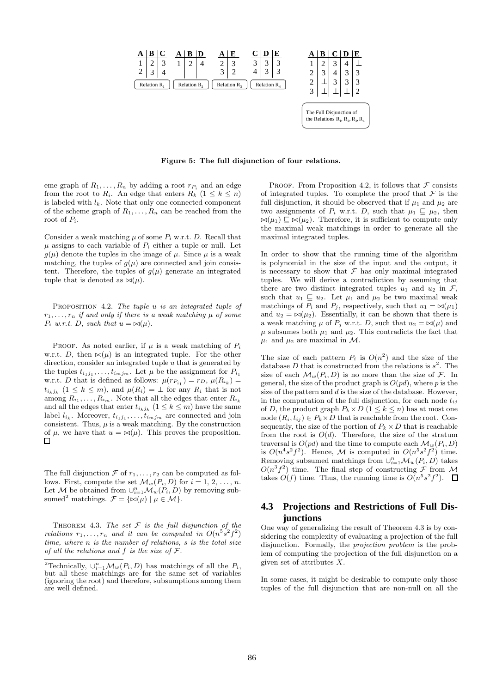

Figure 5: The full disjunction of four relations.

eme graph of  $R_1, \ldots, R_n$  by adding a root  $r_{P_i}$  and an edge from the root to  $R_i$ . An edge that enters  $R_k (1 \leq k \leq n)$ is labeled with  $l_k$ . Note that only one connected component of the scheme graph of  $R_1, \ldots, R_n$  can be reached from the root of  $P_i$ .

Consider a weak matching  $\mu$  of some  $P_i$  w.r.t. D. Recall that  $\mu$  assigns to each variable of  $P_i$  either a tuple or null. Let  $g(\mu)$  denote the tuples in the image of  $\mu$ . Since  $\mu$  is a weak matching, the tuples of  $g(\mu)$  are connected and join consistent. Therefore, the tuples of  $g(\mu)$  generate an integrated tuple that is denoted as  $\bowtie(\mu)$ .

PROPOSITION 4.2. The tuple  $u$  is an integrated tuple of  $r_1, \ldots, r_n$  if and only if there is a weak matching  $\mu$  of some  $P_i$  w.r.t. D, such that  $u = \bowtie(\mu)$ .

PROOF. As noted earlier, if  $\mu$  is a weak matching of  $P_i$ w.r.t. D, then  $\bowtie(\mu)$  is an integrated tuple. For the other direction, consider an integrated tuple  $u$  that is generated by the tuples  $t_{i_1j_1}, \ldots, t_{i_mj_m}$ . Let  $\mu$  be the assignment for  $P_{i_1}$ w.r.t. D that is defined as follows:  $\mu(r_{P_{i_1}}) = r_D, \, \mu(R_{i_k}) =$  $t_{i_kj_k}$   $(1 \leq k \leq m)$ , and  $\mu(R_i) = \perp$  for any  $R_i$  that is not among  $R_{i_1}, \ldots, R_{i_m}$ . Note that all the edges that enter  $R_{i_k}$ and all the edges that enter  $t_{i_k j_k}$   $(1 \leq k \leq m)$  have the same label  $l_{i_k}$ . Moreover,  $t_{i_1j_1}, \ldots, t_{i_mj_m}$  are connected and join consistent. Thus,  $\mu$  is a weak matching. By the construction of  $\mu$ , we have that  $u = \mathsf{M}(\mu)$ . This proves the proposition.  $\Box$ 

The full disjunction  $\mathcal F$  of  $r_1, \ldots, r_2$  can be computed as follows. First, compute the set  $\mathcal{M}_w(P_i, D)$  for  $i = 1, 2, ..., n$ . Let M be obtained from  $\cup_{i=1}^n \mathcal{M}_w(P_i, D)$  by removing subsumed<sup>2</sup> matchings.  $\mathcal{F} = {\{\infty(\mu) | \mu \in \mathcal{M}\}.$ 

THEOREM 4.3. The set  $F$  is the full disjunction of the relations  $r_1, \ldots, r_n$  and it can be computed in  $O(n^5s^2f^2)$ time, where n is the number of relations, s is the total size of all the relations and f is the size of  $\mathcal{F}.$ 

PROOF. From Proposition 4.2, it follows that  $\mathcal F$  consists of integrated tuples. To complete the proof that  $\mathcal F$  is the full disjunction, it should be observed that if  $\mu_1$  and  $\mu_2$  are two assignments of  $P_i$  w.r.t. D, such that  $\mu_1 \subseteq \mu_2$ , then  $\bowtie(\mu_1) \sqsubseteq \bowtie(\mu_2)$ . Therefore, it is sufficient to compute only the maximal weak matchings in order to generate all the maximal integrated tuples.

In order to show that the running time of the algorithm is polynomial in the size of the input and the output, it is necessary to show that  $\mathcal F$  has only maximal integrated tuples. We will derive a contradiction by assuming that there are two distinct integrated tuples  $u_1$  and  $u_2$  in  $\mathcal{F}$ , such that  $u_1 \subseteq u_2$ . Let  $\mu_1$  and  $\mu_2$  be two maximal weak matchings of  $P_i$  and  $P_j$ , respectively, such that  $u_1 = \bowtie(\mu_1)$ and  $u_2 = \mathbb{N}(\mu_2)$ . Essentially, it can be shown that there is a weak matching  $\mu$  of  $P_j$  w.r.t. D, such that  $u_2 = \bowtie(\mu)$  and  $\mu$  subsumes both  $\mu_1$  and  $\mu_2$ . This contradicts the fact that  $\mu_1$  and  $\mu_2$  are maximal in M.

The size of each pattern  $P_i$  is  $O(n^2)$  and the size of the database D that is constructed from the relations is  $s^2$ . The size of each  $\mathcal{M}_w(P_i, D)$  is no more than the size of  $\mathcal{F}$ . In general, the size of the product graph is  $O(p d)$ , where p is the size of the pattern and  $d$  is the size of the database. However, in the computation of the full disjunction, for each node  $t_{ij}$ of D, the product graph  $P_k \times D$  ( $1 \leq k \leq n$ ) has at most one node  $(R_i, t_{ij}) \in P_k \times D$  that is reachable from the root. Consequently, the size of the portion of  $P_k \times D$  that is reachable from the root is  $O(d)$ . Therefore, the size of the stratum traversal is  $O(p d)$  and the time to compute each  $\mathcal{M}_w(P_i, D)$ is  $O(n^4s^2f^2)$ . Hence, M is computed in  $O(n^5s^2f^2)$  time. Removing subsumed matchings from  $\cup_{i=1}^n \mathcal{M}_w(P_i, D)$  takes  $O(n^3 f^2)$  time. The final step of constructing  $\mathcal F$  from M takes  $O(f)$  time. Thus, the running time is  $O(n^5s^2f^2)$ .

## **4.3 Projections and Restrictions of Full Disjunctions**

One way of generalizing the result of Theorem 4.3 is by considering the complexity of evaluating a projection of the full disjunction. Formally, the *projection problem* is the problem of computing the projection of the full disjunction on a given set of attributes  $X$ .

In some cases, it might be desirable to compute only those tuples of the full disjunction that are non-null on all the

<sup>&</sup>lt;sup>2</sup>Technically,  $\cup_{i=1}^n \mathcal{M}_w(P_i, D)$  has matchings of all the  $P_i$ , but all these matchings are for the same set of variables (ignoring the root) and therefore, subsumptions among them are well defined.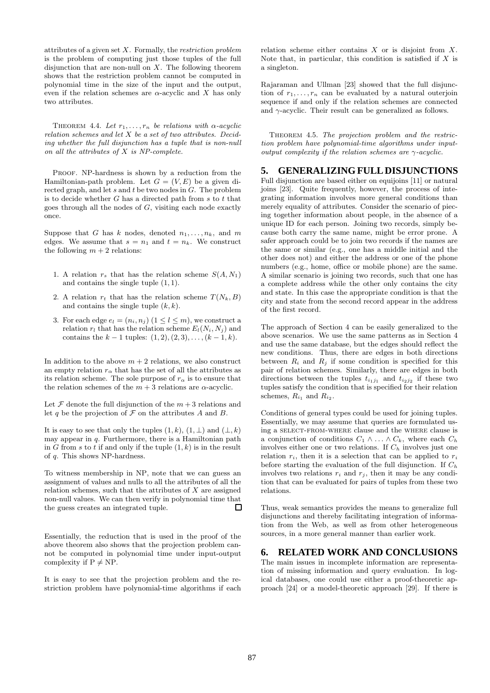attributes of a given set  $X$ . Formally, the *restriction problem* is the problem of computing just those tuples of the full disjunction that are non-null on  $X$ . The following theorem shows that the restriction problem cannot be computed in polynomial time in the size of the input and the output, even if the relation schemes are  $\alpha$ -acyclic and X has only two attributes.

THEOREM 4.4. Let  $r_1, \ldots, r_n$  be relations with  $\alpha$ -acyclic relation schemes and let X be a set of two attributes. Deciding whether the full disjunction has a tuple that is non-null on all the attributes of  $X$  is NP-complete.

PROOF. NP-hardness is shown by a reduction from the Hamiltonian-path problem. Let  $G = (V, E)$  be a given directed graph, and let  $s$  and  $t$  be two nodes in  $G$ . The problem is to decide whether  $G$  has a directed path from  $s$  to  $t$  that goes through all the nodes of  $G$ , visiting each node exactly once.

Suppose that G has k nodes, denoted  $n_1, \ldots, n_k$ , and m edges. We assume that  $s = n_1$  and  $t = n_k$ . We construct the following  $m + 2$  relations:

- 1. A relation  $r_s$  that has the relation scheme  $S(A, N_1)$ and contains the single tuple  $(1, 1)$ .
- 2. A relation  $r_t$  that has the relation scheme  $T(N_k, B)$ and contains the single tuple  $(k, k)$ .
- 3. For each edge  $e_l = (n_i, n_j)$   $(1 \leq l \leq m)$ , we construct a relation  $r_l$  that has the relation scheme  $E_l(N_i, N_j)$  and contains the  $k-1$  tuples:  $(1, 2), (2, 3), \ldots, (k-1, k)$ .

In addition to the above  $m + 2$  relations, we also construct an empty relation  $r_{\alpha}$  that has the set of all the attributes as its relation scheme. The sole purpose of  $r_{\alpha}$  is to ensure that the relation schemes of the  $m + 3$  relations are  $\alpha$ -acyclic.

Let  $\mathcal F$  denote the full disjunction of the  $m+3$  relations and let q be the projection of  $\mathcal F$  on the attributes A and B.

It is easy to see that only the tuples  $(1, k)$ ,  $(1, \perp)$  and  $(\perp, k)$ may appear in  $q$ . Furthermore, there is a Hamiltonian path in G from s to t if and only if the tuple  $(1, k)$  is in the result of q. This shows NP-hardness.

To witness membership in NP, note that we can guess an assignment of values and nulls to all the attributes of all the relation schemes, such that the attributes of  $X$  are assigned non-null values. We can then verify in polynomial time that  $\Box$ the guess creates an integrated tuple.

Essentially, the reduction that is used in the proof of the above theorem also shows that the projection problem cannot be computed in polynomial time under input-output complexity if  $P \neq NP$ .

It is easy to see that the projection problem and the restriction problem have polynomial-time algorithms if each

relation scheme either contains  $X$  or is disjoint from  $X$ . Note that, in particular, this condition is satisfied if  $X$  is a singleton.

Rajaraman and Ullman [23] showed that the full disjunction of  $r_1, \ldots, r_n$  can be evaluated by a natural outerjoin sequence if and only if the relation schemes are connected and  $\gamma$ -acyclic. Their result can be generalized as follows.

THEOREM 4.5. The projection problem and the restriction problem have polynomial-time algorithms under inputoutput complexity if the relation schemes are  $\gamma$ -acyclic.

## **5. GENERALIZINGFULL DISJUNCTIONS**

Full disjunction are based either on equijoins [11] or natural joins [23]. Quite frequently, however, the process of integrating information involves more general conditions than merely equality of attributes. Consider the scenario of piecing together information about people, in the absence of a unique ID for each person. Joining two records, simply because both carry the same name, might be error prone. A safer approach could be to join two records if the names are the same or similar (e.g., one has a middle initial and the other does not) and either the address or one of the phone numbers (e.g., home, office or mobile phone) are the same. A similar scenario is joining two records, such that one has a complete address while the other only contains the city and state. In this case the appropriate condition is that the city and state from the second record appear in the address of the first record.

The approach of Section 4 can be easily generalized to the above scenarios. We use the same patterns as in Section 4 and use the same database, but the edges should reflect the new conditions. Thus, there are edges in both directions between  $R_i$  and  $R_j$  if some condition is specified for this pair of relation schemes. Similarly, there are edges in both directions between the tuples  $t_{i_1j_1}$  and  $t_{i_2j_2}$  if these two tuples satisfy the condition that is specified for their relation schemes,  $R_{i_1}$  and  $R_{i_2}$ .

Conditions of general types could be used for joining tuples. Essentially, we may assume that queries are formulated using a select-from-where clause and the where clause is a conjunction of conditions  $C_1 \wedge \ldots \wedge C_k$ , where each  $C_h$ involves either one or two relations. If  $C_h$  involves just one relation  $r_i$ , then it is a selection that can be applied to  $r_i$ before starting the evaluation of the full disjunction. If  $C_h$ involves two relations  $r_i$  and  $r_j$ , then it may be any condition that can be evaluated for pairs of tuples from these two relations.

Thus, weak semantics provides the means to generalize full disjunctions and thereby facilitating integration of information from the Web, as well as from other heterogeneous sources, in a more general manner than earlier work.

## **6. RELATED WORK AND CONCLUSIONS**

The main issues in incomplete information are representation of missing information and query evaluation. In logical databases, one could use either a proof-theoretic approach [24] or a model-theoretic approach [29]. If there is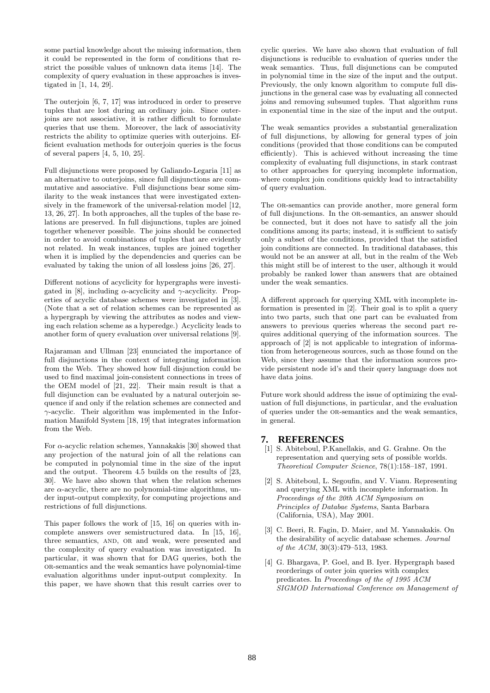some partial knowledge about the missing information, then it could be represented in the form of conditions that restrict the possible values of unknown data items [14]. The complexity of query evaluation in these approaches is investigated in [1, 14, 29].

The outerjoin [6, 7, 17] was introduced in order to preserve tuples that are lost during an ordinary join. Since outerjoins are not associative, it is rather difficult to formulate queries that use them. Moreover, the lack of associativity restricts the ability to optimize queries with outerjoins. Efficient evaluation methods for outerjoin queries is the focus of several papers [4, 5, 10, 25].

Full disjunctions were proposed by Galiando-Legaria [11] as an alternative to outerjoins, since full disjunctions are commutative and associative. Full disjunctions bear some similarity to the weak instances that were investigated extensively in the framework of the universal-relation model [12, 13, 26, 27]. In both approaches, all the tuples of the base relations are preserved. In full disjunctions, tuples are joined together whenever possible. The joins should be connected in order to avoid combinations of tuples that are evidently not related. In weak instances, tuples are joined together when it is implied by the dependencies and queries can be evaluated by taking the union of all lossless joins [26, 27].

Different notions of acyclicity for hypergraphs were investigated in [8], including  $\alpha$ -acyclicity and  $\gamma$ -acyclicity. Properties of acyclic database schemes were investigated in [3]. (Note that a set of relation schemes can be represented as a hypergraph by viewing the attributes as nodes and viewing each relation scheme as a hyperedge.) Acyclicity leads to another form of query evaluation over universal relations [9].

Rajaraman and Ullman [23] enunciated the importance of full disjunctions in the context of integrating information from the Web. They showed how full disjunction could be used to find maximal join-consistent connections in trees of the OEM model of [21, 22]. Their main result is that a full disjunction can be evaluated by a natural outerjoin sequence if and only if the relation schemes are connected and  $\gamma$ -acyclic. Their algorithm was implemented in the Information Manifold System [18, 19] that integrates information from the Web.

For  $\alpha$ -acyclic relation schemes, Yannakakis [30] showed that any projection of the natural join of all the relations can be computed in polynomial time in the size of the input and the output. Theorem 4.5 builds on the results of [23, 30]. We have also shown that when the relation schemes are  $\alpha$ -acyclic, there are no polynomial-time algorithms, under input-output complexity, for computing projections and restrictions of full disjunctions.

This paper follows the work of [15, 16] on queries with incomplete answers over semistructured data. In [15, 16], three semantics, AND, OR and weak, were presented and the complexity of query evaluation was investigated. In particular, it was shown that for DAG queries, both the or-semantics and the weak semantics have polynomial-time evaluation algorithms under input-output complexity. In this paper, we have shown that this result carries over to

cyclic queries. We have also shown that evaluation of full disjunctions is reducible to evaluation of queries under the weak semantics. Thus, full disjunctions can be computed in polynomial time in the size of the input and the output. Previously, the only known algorithm to compute full disjunctions in the general case was by evaluating all connected joins and removing subsumed tuples. That algorithm runs in exponential time in the size of the input and the output.

The weak semantics provides a substantial generalization of full disjunctions, by allowing for general types of join conditions (provided that those conditions can be computed efficiently). This is achieved without increasing the time complexity of evaluating full disjunctions, in stark contrast to other approaches for querying incomplete information, where complex join conditions quickly lead to intractability of query evaluation.

The OR-semantics can provide another, more general form of full disjunctions. In the or-semantics, an answer should be connected, but it does not have to satisfy all the join conditions among its parts; instead, it is sufficient to satisfy only a subset of the conditions, provided that the satisfied join conditions are connected. In traditional databases, this would not be an answer at all, but in the realm of the Web this might still be of interest to the user, although it would probably be ranked lower than answers that are obtained under the weak semantics.

A different approach for querying XML with incomplete information is presented in [2]. Their goal is to split a query into two parts, such that one part can be evaluated from answers to previous queries whereas the second part requires additional querying of the information sources. The approach of [2] is not applicable to integration of information from heterogeneous sources, such as those found on the Web, since they assume that the information sources provide persistent node id's and their query language does not have data joins.

Future work should address the issue of optimizing the evaluation of full disjunctions, in particular, and the evaluation of queries under the or-semantics and the weak semantics, in general.

## **7. REFERENCES**

- [1] S. Abiteboul, P.Kanellakis, and G. Grahne. On the representation and querying sets of possible worlds. Theoretical Computer Science, 78(1):158–187, 1991.
- [2] S. Abiteboul, L. Segoufin, and V. Vianu. Representing and querying XML with incomplete information. In Proceedings of the 20th ACM Symposium on Principles of Databae Systems, Santa Barbara (California, USA), May 2001.
- [3] C. Beeri, R. Fagin, D. Maier, and M. Yannakakis. On the desirability of acyclic database schemes. Journal of the ACM, 30(3):479–513, 1983.
- [4] G. Bhargava, P. Goel, and B. Iyer. Hypergraph based reorderings of outer join queries with complex predicates. In Proceedings of the of 1995 ACM SIGMOD International Conference on Management of